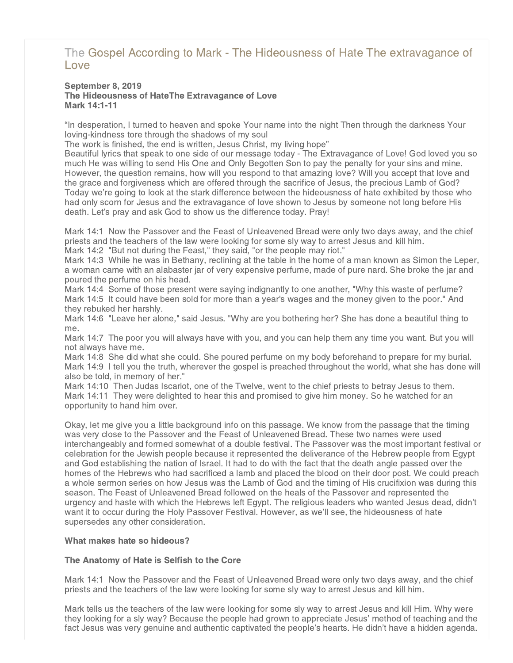# [The Gospel According to Mark - The Hideousness of Hate The extravagance of](http://northshorechurch.net/resources/sermons/sermon-notes/466-the-gospel-according-to-mark-the-hideousness-of-hate-the-extravagance-of-love) Love

# September 8, 2019 The Hideousness of HateThe Extravagance of Love Mark 14:1-11

"In desperation, I turned to heaven and spoke Your name into the night Then through the darkness Your loving-kindness tore through the shadows of my soul

The work is finished, the end is written, Jesus Christ, my living hope"

Beautiful lyrics that speak to one side of our message today - The Extravagance of Love! God loved you so much He was willing to send His One and Only Begotten Son to pay the penalty for your sins and mine. However, the question remains, how will you respond to that amazing love? Will you accept that love and the grace and forgiveness which are offered through the sacrifice of Jesus, the precious Lamb of God? Today we're going to look at the stark difference between the hideousness of hate exhibited by those who had only scorn for Jesus and the extravagance of love shown to Jesus by someone not long before His death. Let's pray and ask God to show us the difference today. Pray!

Mark 14:1 Now the Passover and the Feast of Unleavened Bread were only two days away, and the chief priests and the teachers of the law were looking for some sly way to arrest Jesus and kill him.

Mark 14:2 "But not during the Feast," they said, "or the people may riot."

Mark 14:3 While he was in Bethany, reclining at the table in the home of a man known as Simon the Leper, a woman came with an alabaster jar of very expensive perfume, made of pure nard. She broke the jar and poured the perfume on his head.

Mark 14:4 Some of those present were saying indignantly to one another, "Why this waste of perfume? Mark 14:5 It could have been sold for more than a year's wages and the money given to the poor." And they rebuked her harshly.

Mark 14:6 "Leave her alone," said Jesus. "Why are you bothering her? She has done a beautiful thing to me.

Mark 14:7 The poor you will always have with you, and you can help them any time you want. But you will not always have me.

Mark 14:8 She did what she could. She poured perfume on my body beforehand to prepare for my burial. Mark 14:9 I tell you the truth, wherever the gospel is preached throughout the world, what she has done will also be told, in memory of her."

Mark 14:10 Then Judas Iscariot, one of the Twelve, went to the chief priests to betray Jesus to them. Mark 14:11 They were delighted to hear this and promised to give him money. So he watched for an opportunity to hand him over.

Okay, let me give you a little background info on this passage. We know from the passage that the timing was very close to the Passover and the Feast of Unleavened Bread. These two names were used interchangeably and formed somewhat of a double festival. The Passover was the most important festival or celebration for the Jewish people because it represented the deliverance of the Hebrew people from Egypt and God establishing the nation of Israel. It had to do with the fact that the death angle passed over the homes of the Hebrews who had sacrificed a lamb and placed the blood on their door post. We could preach a whole sermon series on how Jesus was the Lamb of God and the timing of His crucifixion was during this season. The Feast of Unleavened Bread followed on the heals of the Passover and represented the urgency and haste with which the Hebrews left Egypt. The religious leaders who wanted Jesus dead, didn't want it to occur during the Holy Passover Festival. However, as we'll see, the hideousness of hate supersedes any other consideration.

# What makes hate so hideous?

# The Anatomy of Hate is Selfish to the Core

Mark 14:1 Now the Passover and the Feast of Unleavened Bread were only two days away, and the chief priests and the teachers of the law were looking for some sly way to arrest Jesus and kill him.

Mark tells us the teachers of the law were looking for some sly way to arrest Jesus and kill Him. Why were they looking for a sly way? Because the people had grown to appreciate Jesus' method of teaching and the fact Jesus was very genuine and authentic captivated the people's hearts. He didn't have a hidden agenda.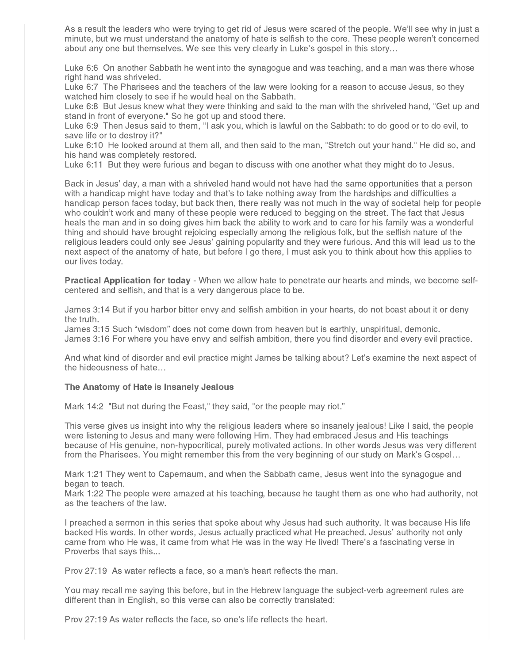As a result the leaders who were trying to get rid of Jesus were scared of the people. We'll see why in just a minute, but we must understand the anatomy of hate is selfish to the core. These people weren't concerned about any one but themselves. We see this very clearly in Luke's gospel in this story…

Luke 6:6 On another Sabbath he went into the synagogue and was teaching, and a man was there whose right hand was shriveled.

Luke 6:7 The Pharisees and the teachers of the law were looking for a reason to accuse Jesus, so they watched him closely to see if he would heal on the Sabbath.

Luke 6:8 But Jesus knew what they were thinking and said to the man with the shriveled hand, "Get up and stand in front of everyone." So he got up and stood there.

Luke 6:9 Then Jesus said to them, "I ask you, which is lawful on the Sabbath: to do good or to do evil, to save life or to destroy it?"

Luke 6:10 He looked around at them all, and then said to the man, "Stretch out your hand." He did so, and his hand was completely restored.

Luke 6:11 But they were furious and began to discuss with one another what they might do to Jesus.

Back in Jesus' day, a man with a shriveled hand would not have had the same opportunities that a person with a handicap might have today and that's to take nothing away from the hardships and difficulties a handicap person faces today, but back then, there really was not much in the way of societal help for people who couldn't work and many of these people were reduced to begging on the street. The fact that Jesus heals the man and in so doing gives him back the ability to work and to care for his family was a wonderful thing and should have brought rejoicing especially among the religious folk, but the selfish nature of the religious leaders could only see Jesus' gaining popularity and they were furious. And this will lead us to the next aspect of the anatomy of hate, but before I go there, I must ask you to think about how this applies to our lives today.

Practical Application for today - When we allow hate to penetrate our hearts and minds, we become selfcentered and selfish, and that is a very dangerous place to be.

James 3:14 But if you harbor bitter envy and selfish ambition in your hearts, do not boast about it or deny the truth.

James 3:15 Such "wisdom" does not come down from heaven but is earthly, unspiritual, demonic. James 3:16 For where you have envy and selfish ambition, there you find disorder and every evil practice.

And what kind of disorder and evil practice might James be talking about? Let's examine the next aspect of the hideousness of hate…

#### The Anatomy of Hate is Insanely Jealous

Mark 14:2 "But not during the Feast," they said, "or the people may riot."

This verse gives us insight into why the religious leaders where so insanely jealous! Like I said, the people were listening to Jesus and many were following Him. They had embraced Jesus and His teachings because of His genuine, non-hypocritical, purely motivated actions. In other words Jesus was very different from the Pharisees. You might remember this from the very beginning of our study on Mark's Gospel…

Mark 1:21 They went to Capernaum, and when the Sabbath came, Jesus went into the synagogue and began to teach.

Mark 1:22 The people were amazed at his teaching, because he taught them as one who had authority, not as the teachers of the law.

I preached a sermon in this series that spoke about why Jesus had such authority. It was because His life backed His words. In other words, Jesus actually practiced what He preached. Jesus' authority not only came from who He was, it came from what He was in the way He lived! There's a fascinating verse in Proverbs that says this...

Prov 27:19 As water reflects a face, so a man's heart reflects the man.

You may recall me saying this before, but in the Hebrew language the subject-verb agreement rules are different than in English, so this verse can also be correctly translated:

Prov 27:19 As water reflects the face, so one's life reflects the heart.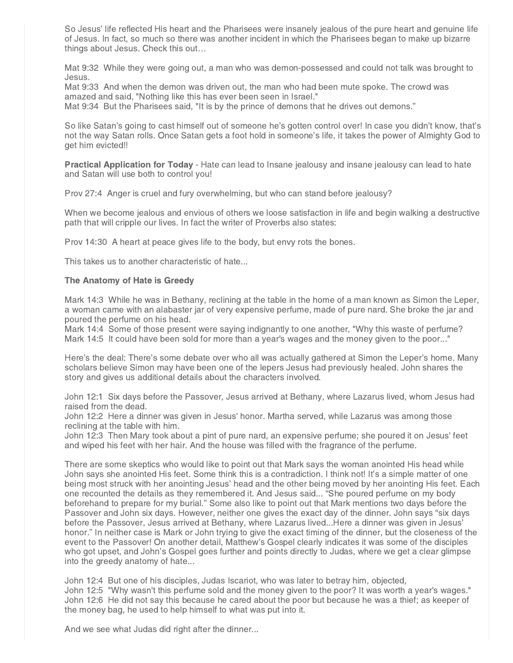So Jesus' life reflected His heart and the Pharisees were insanely jealous of the pure heart and genuine life of Jesus. In fact, so much so there was another incident in which the Pharisees began to make up bizarre things about Jesus. Check this out…

Mat 9:32 While they were going out, a man who was demon-possessed and could not talk was brought to Jesus.

Mat 9:33 And when the demon was driven out, the man who had been mute spoke. The crowd was amazed and said, "Nothing like this has ever been seen in Israel."

Mat 9:34 But the Pharisees said, "It is by the prince of demons that he drives out demons."

So like Satan's going to cast himself out of someone he's gotten control over! In case you didn't know, that's not the way Satan rolls. Once Satan gets a foot hold in someone's life, it takes the power of Almighty God to get him evicted!!

Practical Application for Today - Hate can lead to Insane jealousy and insane jealousy can lead to hate and Satan will use both to control you!

Prov 27:4 Anger is cruel and fury overwhelming, but who can stand before jealousy?

When we become jealous and envious of others we loose satisfaction in life and begin walking a destructive path that will cripple our lives. In fact the writer of Proverbs also states:

Prov 14:30 A heart at peace gives life to the body, but envy rots the bones.

This takes us to another characteristic of hate...

#### The Anatomy of Hate is Greedy

Mark 14:3 While he was in Bethany, reclining at the table in the home of a man known as Simon the Leper, a woman came with an alabaster jar of very expensive perfume, made of pure nard. She broke the jar and poured the perfume on his head.

Mark 14:4 Some of those present were saying indignantly to one another, "Why this waste of perfume? Mark 14:5 It could have been sold for more than a year's wages and the money given to the poor..."

Here's the deal: There's some debate over who all was actually gathered at Simon the Leper's home. Many scholars believe Simon may have been one of the lepers Jesus had previously healed. John shares the story and gives us additional details about the characters involved.

John 12:1 Six days before the Passover, Jesus arrived at Bethany, where Lazarus lived, whom Jesus had raised from the dead.

John 12:2 Here a dinner was given in Jesus' honor. Martha served, while Lazarus was among those reclining at the table with him.

John 12:3 Then Mary took about a pint of pure nard, an expensive perfume; she poured it on Jesus' feet and wiped his feet with her hair. And the house was filled with the fragrance of the perfume.

There are some skeptics who would like to point out that Mark says the woman anointed His head while John says she anointed His feet. Some think this is a contradiction. I think not! It's a simple matter of one being most struck with her anointing Jesus' head and the other being moved by her anointing His feet. Each one recounted the details as they remembered it. And Jesus said... "She poured perfume on my body beforehand to prepare for my burial." Some also like to point out that Mark mentions two days before the Passover and John six days. However, neither one gives the exact day of the dinner. John says "six days before the Passover, Jesus arrived at Bethany, where Lazarus lived...Here a dinner was given in Jesus' honor." In neither case is Mark or John trying to give the exact timing of the dinner, but the closeness of the event to the Passover! On another detail, Matthew's Gospel clearly indicates it was some of the disciples who got upset, and John's Gospel goes further and points directly to Judas, where we get a clear glimpse into the greedy anatomy of hate...

John 12:4 But one of his disciples, Judas Iscariot, who was later to betray him, objected, John 12:5 "Why wasn't this perfume sold and the money given to the poor? It was worth a year's wages." John 12:6 He did not say this because he cared about the poor but because he was a thief; as keeper of the money bag, he used to help himself to what was put into it.

And we see what Judas did right after the dinner...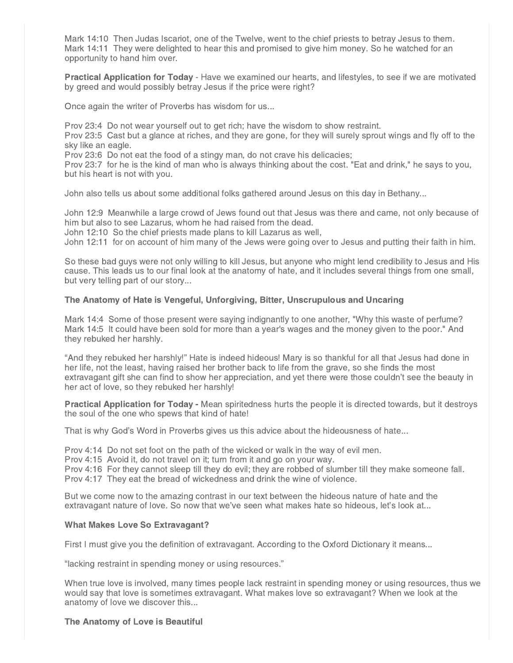Mark 14:10 Then Judas Iscariot, one of the Twelve, went to the chief priests to betray Jesus to them. Mark 14:11 They were delighted to hear this and promised to give him money. So he watched for an opportunity to hand him over.

**Practical Application for Today** - Have we examined our hearts, and lifestyles, to see if we are motivated by greed and would possibly betray Jesus if the price were right?

Once again the writer of Proverbs has wisdom for us...

Prov 23:4 Do not wear yourself out to get rich; have the wisdom to show restraint.

Prov 23:5 Cast but a glance at riches, and they are gone, for they will surely sprout wings and fly off to the sky like an eagle.

Prov 23:6 Do not eat the food of a stingy man, do not crave his delicacies;

Prov 23:7 for he is the kind of man who is always thinking about the cost. "Eat and drink," he says to you, but his heart is not with you.

John also tells us about some additional folks gathered around Jesus on this day in Bethany...

John 12:9 Meanwhile a large crowd of Jews found out that Jesus was there and came, not only because of him but also to see Lazarus, whom he had raised from the dead.

John 12:10 So the chief priests made plans to kill Lazarus as well,

John 12:11 for on account of him many of the Jews were going over to Jesus and putting their faith in him.

So these bad guys were not only willing to kill Jesus, but anyone who might lend credibility to Jesus and His cause. This leads us to our final look at the anatomy of hate, and it includes several things from one small, but very telling part of our story...

# The Anatomy of Hate is Vengeful, Unforgiving, Bitter, Unscrupulous and Uncaring

Mark 14:4 Some of those present were saying indignantly to one another, "Why this waste of perfume? Mark 14:5 It could have been sold for more than a year's wages and the money given to the poor." And they rebuked her harshly.

"And they rebuked her harshly!" Hate is indeed hideous! Mary is so thankful for all that Jesus had done in her life, not the least, having raised her brother back to life from the grave, so she finds the most extravagant gift she can find to show her appreciation, and yet there were those couldn't see the beauty in her act of love, so they rebuked her harshly!

Practical Application for Today - Mean spiritedness hurts the people it is directed towards, but it destroys the soul of the one who spews that kind of hate!

That is why God's Word in Proverbs gives us this advice about the hideousness of hate...

Prov 4:14 Do not set foot on the path of the wicked or walk in the way of evil men.

Prov 4:15 Avoid it, do not travel on it; turn from it and go on your way.

Prov 4:16 For they cannot sleep till they do evil; they are robbed of slumber till they make someone fall. Prov 4:17 They eat the bread of wickedness and drink the wine of violence.

But we come now to the amazing contrast in our text between the hideous nature of hate and the extravagant nature of love. So now that we've seen what makes hate so hideous, let's look at...

# What Makes Love So Extravagant?

First I must give you the definition of extravagant. According to the Oxford Dictionary it means...

"lacking restraint in spending money or using resources."

When true love is involved, many times people lack restraint in spending money or using resources, thus we would say that love is sometimes extravagant. What makes love so extravagant? When we look at the anatomy of love we discover this...

# The Anatomy of Love is Beautiful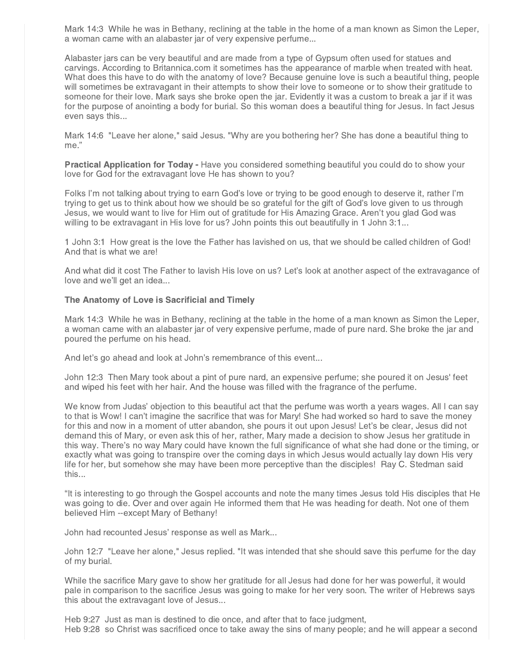Mark 14:3 While he was in Bethany, reclining at the table in the home of a man known as Simon the Leper, a woman came with an alabaster jar of very expensive perfume...

Alabaster jars can be very beautiful and are made from a type of Gypsum often used for statues and carvings. According to Britannica.com it sometimes has the appearance of marble when treated with heat. What does this have to do with the anatomy of love? Because genuine love is such a beautiful thing, people will sometimes be extravagant in their attempts to show their love to someone or to show their gratitude to someone for their love. Mark says she broke open the jar. Evidently it was a custom to break a jar if it was for the purpose of anointing a body for burial. So this woman does a beautiful thing for Jesus. In fact Jesus even says this...

Mark 14:6 "Leave her alone," said Jesus. "Why are you bothering her? She has done a beautiful thing to me."

**Practical Application for Today - Have you considered something beautiful you could do to show your** love for God for the extravagant love He has shown to you?

Folks I'm not talking about trying to earn God's love or trying to be good enough to deserve it, rather I'm trying to get us to think about how we should be so grateful for the gift of God's love given to us through Jesus, we would want to live for Him out of gratitude for His Amazing Grace. Aren't you glad God was willing to be extravagant in His love for us? John points this out beautifully in 1 John 3:1...

1 John 3:1 How great is the love the Father has lavished on us, that we should be called children of God! And that is what we are!

And what did it cost The Father to lavish His love on us? Let's look at another aspect of the extravagance of love and we'll get an idea...

# The Anatomy of Love is Sacrificial and Timely

Mark 14:3 While he was in Bethany, reclining at the table in the home of a man known as Simon the Leper, a woman came with an alabaster jar of very expensive perfume, made of pure nard. She broke the jar and poured the perfume on his head.

And let's go ahead and look at John's remembrance of this event...

John 12:3 Then Mary took about a pint of pure nard, an expensive perfume; she poured it on Jesus' feet and wiped his feet with her hair. And the house was filled with the fragrance of the perfume.

We know from Judas' objection to this beautiful act that the perfume was worth a years wages. All I can say to that is Wow! I can't imagine the sacrifice that was for Mary! She had worked so hard to save the money for this and now in a moment of utter abandon, she pours it out upon Jesus! Let's be clear, Jesus did not demand this of Mary, or even ask this of her, rather, Mary made a decision to show Jesus her gratitude in this way. There's no way Mary could have known the full significance of what she had done or the timing, or exactly what was going to transpire over the coming days in which Jesus would actually lay down His very life for her, but somehow she may have been more perceptive than the disciples! Ray C. Stedman said this...

"It is interesting to go through the Gospel accounts and note the many times Jesus told His disciples that He was going to die. Over and over again He informed them that He was heading for death. Not one of them believed Him --except Mary of Bethany!

John had recounted Jesus' response as well as Mark...

John 12:7 "Leave her alone," Jesus replied. "It was intended that she should save this perfume for the day of my burial.

While the sacrifice Mary gave to show her gratitude for all Jesus had done for her was powerful, it would pale in comparison to the sacrifice Jesus was going to make for her very soon. The writer of Hebrews says this about the extravagant love of Jesus...

Heb 9:27 Just as man is destined to die once, and after that to face judgment, Heb 9:28 so Christ was sacrificed once to take away the sins of many people; and he will appear a second